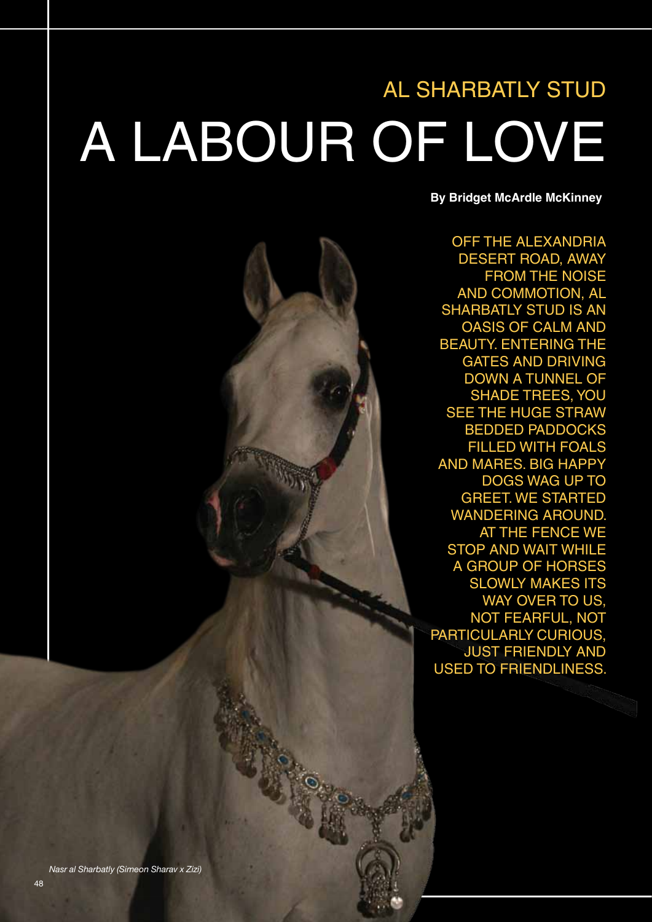## AL SHARBATLY STUD A LABOUR OF LOVE

**By Bridget McArdle McKinney**

OFF THE ALEXANDRIA DESERT ROAD, AWAY FROM THE NOISE AND COMMOTION, AL SHARBATLY STUD IS AN OASIS OF CALM AND BEAUTY. ENTERING THE GATES AND DRIVING DOWN A TUNNEL OF SHADE TREES, YOU SEE THE HUGE STRAW BEDDED PADDOCKS FILLED WITH FOALS AND MARES. BIG HAPPY DOGS WAG UP TO GREET. WE STARTED WANDERING AROUND. AT THE FENCE WE STOP AND WAIT WHILE A GROUP OF HORSES SLOWLY MAKES ITS WAY OVER TO US, NOT FEARFUL, NOT PARTICULARLY CURIOUS, JUST FRIENDLY AND USED TO FRIENDLINESS.